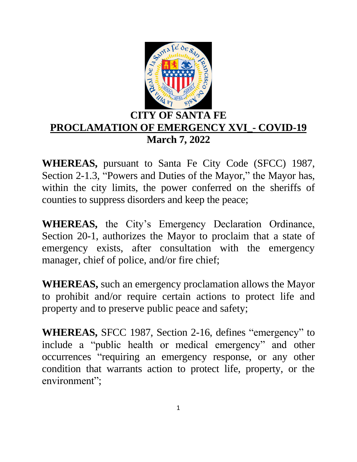

## **CITY OF SANTA FE PROCLAMATION OF EMERGENCY XVI\_- COVID-19 March 7, 2022**

**WHEREAS,** pursuant to Santa Fe City Code (SFCC) 1987, Section 2-1.3, "Powers and Duties of the Mayor," the Mayor has, within the city limits, the power conferred on the sheriffs of counties to suppress disorders and keep the peace;

**WHEREAS,** the City's Emergency Declaration Ordinance, Section 20-1, authorizes the Mayor to proclaim that a state of emergency exists, after consultation with the emergency manager, chief of police, and/or fire chief;

**WHEREAS,** such an emergency proclamation allows the Mayor to prohibit and/or require certain actions to protect life and property and to preserve public peace and safety;

**WHEREAS,** SFCC 1987, Section 2-16, defines "emergency" to include a "public health or medical emergency" and other occurrences "requiring an emergency response, or any other condition that warrants action to protect life, property, or the environment";

1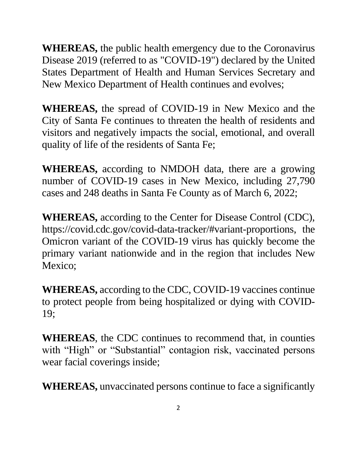**WHEREAS,** the public health emergency due to the Coronavirus Disease 2019 (referred to as "COVID-19") declared by the United States Department of Health and Human Services Secretary and New Mexico Department of Health continues and evolves;

**WHEREAS,** the spread of COVID-19 in New Mexico and the City of Santa Fe continues to threaten the health of residents and visitors and negatively impacts the social, emotional, and overall quality of life of the residents of Santa Fe;

**WHEREAS,** according to NMDOH data, there are a growing number of COVID-19 cases in New Mexico, including 27,790 cases and 248 deaths in Santa Fe County as of March 6, 2022;

**WHEREAS,** according to the Center for Disease Control (CDC), https://covid.cdc.gov/covid-data-tracker/#variant-proportions, the Omicron variant of the COVID-19 virus has quickly become the primary variant nationwide and in the region that includes New Mexico:

**WHEREAS,** according to the CDC, COVID-19 vaccines continue to protect people from being hospitalized or dying with COVID-19;

**WHEREAS**, the CDC continues to recommend that, in counties with "High" or "Substantial" contagion risk, vaccinated persons wear facial coverings inside;

**WHEREAS,** unvaccinated persons continue to face a significantly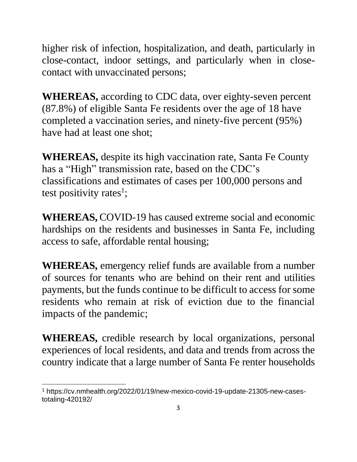higher risk of infection, hospitalization, and death, particularly in close-contact, indoor settings, and particularly when in closecontact with unvaccinated persons;

**WHEREAS,** according to CDC data, over eighty-seven percent (87.8%) of eligible Santa Fe residents over the age of 18 have completed a vaccination series, and ninety-five percent (95%) have had at least one shot;

**WHEREAS,** despite its high vaccination rate, Santa Fe County has a "High" transmission rate, based on the CDC's classifications and estimates of cases per 100,000 persons and test positivity rates<sup>1</sup>;

**WHEREAS,** COVID-19 has caused extreme social and economic hardships on the residents and businesses in Santa Fe, including access to safe, affordable rental housing;

**WHEREAS,** emergency relief funds are available from a number of sources for tenants who are behind on their rent and utilities payments, but the funds continue to be difficult to access for some residents who remain at risk of eviction due to the financial impacts of the pandemic;

**WHEREAS,** credible research by local organizations, personal experiences of local residents, and data and trends from across the country indicate that a large number of Santa Fe renter households

 $\overline{a}$ <sup>1</sup> https://cv.nmhealth.org/2022/01/19/new-mexico-covid-19-update-21305-new-casestotaling-420192/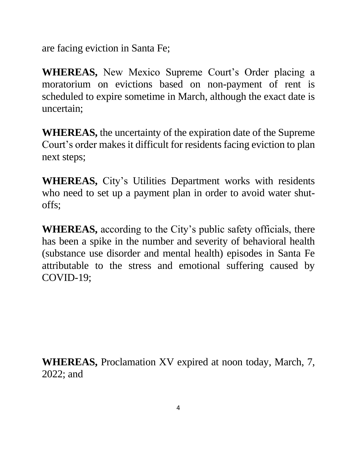are facing eviction in Santa Fe;

**WHEREAS,** New Mexico Supreme Court's Order placing a moratorium on evictions based on non-payment of rent is scheduled to expire sometime in March, although the exact date is uncertain;

**WHEREAS,** the uncertainty of the expiration date of the Supreme Court's order makes it difficult for residents facing eviction to plan next steps;

**WHEREAS,** City's Utilities Department works with residents who need to set up a payment plan in order to avoid water shutoffs;

**WHEREAS,** according to the City's public safety officials, there has been a spike in the number and severity of behavioral health (substance use disorder and mental health) episodes in Santa Fe attributable to the stress and emotional suffering caused by COVID-19;

**WHEREAS,** Proclamation XV expired at noon today, March, 7, 2022; and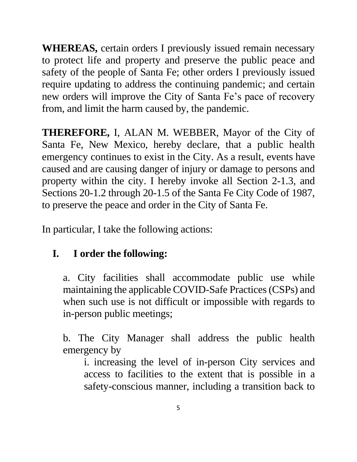**WHEREAS,** certain orders I previously issued remain necessary to protect life and property and preserve the public peace and safety of the people of Santa Fe; other orders I previously issued require updating to address the continuing pandemic; and certain new orders will improve the City of Santa Fe's pace of recovery from, and limit the harm caused by, the pandemic.

**THEREFORE,** I, ALAN M. WEBBER, Mayor of the City of Santa Fe, New Mexico, hereby declare, that a public health emergency continues to exist in the City. As a result, events have caused and are causing danger of injury or damage to persons and property within the city. I hereby invoke all Section 2-1.3, and Sections 20-1.2 through 20-1.5 of the Santa Fe City Code of 1987, to preserve the peace and order in the City of Santa Fe.

In particular, I take the following actions:

# **I. I order the following:**

a. City facilities shall accommodate public use while maintaining the applicable COVID-Safe Practices (CSPs) and when such use is not difficult or impossible with regards to in-person public meetings;

b. The City Manager shall address the public health emergency by

i. increasing the level of in-person City services and access to facilities to the extent that is possible in a safety-conscious manner, including a transition back to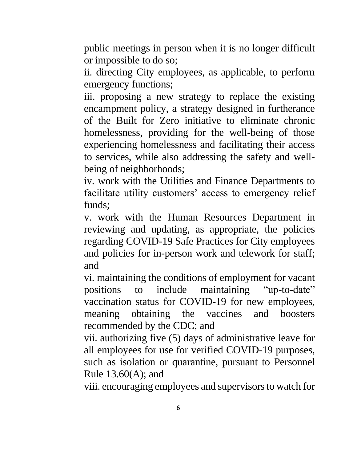public meetings in person when it is no longer difficult or impossible to do so;

ii. directing City employees, as applicable, to perform emergency functions;

iii. proposing a new strategy to replace the existing encampment policy, a strategy designed in furtherance of the Built for Zero initiative to eliminate chronic homelessness, providing for the well-being of those experiencing homelessness and facilitating their access to services, while also addressing the safety and wellbeing of neighborhoods;

iv. work with the Utilities and Finance Departments to facilitate utility customers' access to emergency relief funds;

v. work with the Human Resources Department in reviewing and updating, as appropriate, the policies regarding COVID-19 Safe Practices for City employees and policies for in-person work and telework for staff; and

vi. maintaining the conditions of employment for vacant positions to include maintaining "up-to-date" vaccination status for COVID-19 for new employees, meaning obtaining the vaccines and boosters recommended by the CDC; and

vii. authorizing five (5) days of administrative leave for all employees for use for verified COVID-19 purposes, such as isolation or quarantine, pursuant to Personnel Rule 13.60(A); and

viii. encouraging employees and supervisors to watch for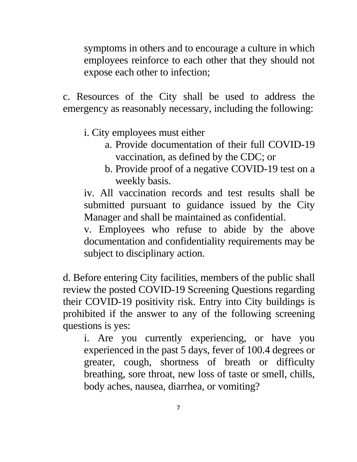symptoms in others and to encourage a culture in which employees reinforce to each other that they should not expose each other to infection;

c. Resources of the City shall be used to address the emergency as reasonably necessary, including the following:

- i. City employees must either
	- a. Provide documentation of their full COVID-19 vaccination, as defined by the CDC; or
	- b. Provide proof of a negative COVID-19 test on a weekly basis.

iv. All vaccination records and test results shall be submitted pursuant to guidance issued by the City Manager and shall be maintained as confidential.

v. Employees who refuse to abide by the above documentation and confidentiality requirements may be subject to disciplinary action.

d. Before entering City facilities, members of the public shall review the posted COVID-19 Screening Questions regarding their COVID-19 positivity risk. Entry into City buildings is prohibited if the answer to any of the following screening questions is yes:

i. Are you currently experiencing, or have you experienced in the past 5 days, fever of 100.4 degrees or greater, cough, shortness of breath or difficulty breathing, sore throat, new loss of taste or smell, chills, body aches, nausea, diarrhea, or vomiting?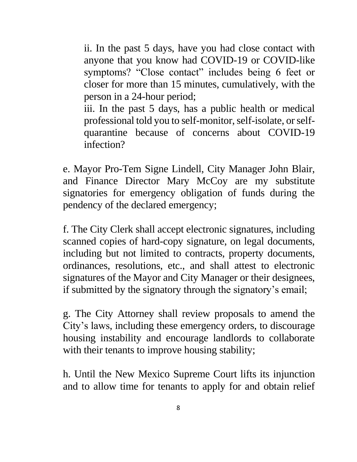ii. In the past 5 days, have you had close contact with anyone that you know had COVID-19 or COVID-like symptoms? "Close contact" includes being 6 feet or closer for more than 15 minutes, cumulatively, with the person in a 24-hour period;

iii. In the past 5 days, has a public health or medical professional told you to self-monitor, self-isolate, or selfquarantine because of concerns about COVID-19 infection?

e. Mayor Pro-Tem Signe Lindell, City Manager John Blair, and Finance Director Mary McCoy are my substitute signatories for emergency obligation of funds during the pendency of the declared emergency;

f. The City Clerk shall accept electronic signatures, including scanned copies of hard-copy signature, on legal documents, including but not limited to contracts, property documents, ordinances, resolutions, etc., and shall attest to electronic signatures of the Mayor and City Manager or their designees, if submitted by the signatory through the signatory's email;

g. The City Attorney shall review proposals to amend the City's laws, including these emergency orders, to discourage housing instability and encourage landlords to collaborate with their tenants to improve housing stability;

h. Until the New Mexico Supreme Court lifts its injunction and to allow time for tenants to apply for and obtain relief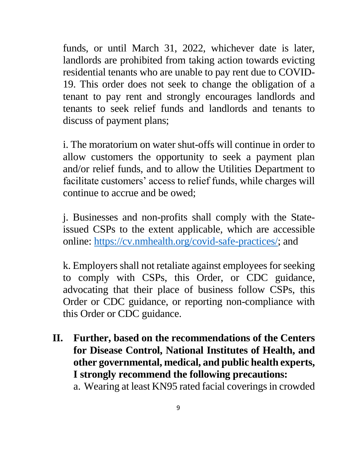funds, or until March 31, 2022, whichever date is later, landlords are prohibited from taking action towards evicting residential tenants who are unable to pay rent due to COVID-19. This order does not seek to change the obligation of a tenant to pay rent and strongly encourages landlords and tenants to seek relief funds and landlords and tenants to discuss of payment plans;

i. The moratorium on water shut-offs will continue in order to allow customers the opportunity to seek a payment plan and/or relief funds, and to allow the Utilities Department to facilitate customers' access to relief funds, while charges will continue to accrue and be owed;

j. Businesses and non-profits shall comply with the Stateissued CSPs to the extent applicable, which are accessible online: [https://cv.nmhealth.org/covid-safe-practices/;](https://cv.nmhealth.org/covid-safe-practices/) and

k. Employers shall not retaliate against employees for seeking to comply with CSPs, this Order, or CDC guidance, advocating that their place of business follow CSPs, this Order or CDC guidance, or reporting non-compliance with this Order or CDC guidance.

**II. Further, based on the recommendations of the Centers for Disease Control, National Institutes of Health, and other governmental, medical, and public health experts, I strongly recommend the following precautions:** 

a. Wearing at least KN95 rated facial coverings in crowded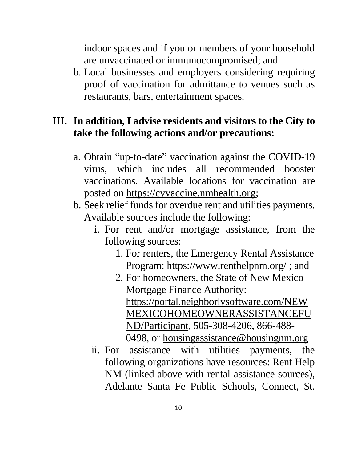indoor spaces and if you or members of your household are unvaccinated or immunocompromised; and

b. Local businesses and employers considering requiring proof of vaccination for admittance to venues such as restaurants, bars, entertainment spaces.

### **III. In addition, I advise residents and visitors to the City to take the following actions and/or precautions:**

- a. Obtain "up-to-date" vaccination against the COVID-19 virus, which includes all recommended booster vaccinations. Available locations for vaccination are posted on [https://cvvaccine.nmhealth.org;](https://cvvaccine.nmhealth.org/)
- b. Seek relief funds for overdue rent and utilities payments. Available sources include the following:
	- i. For rent and/or mortgage assistance, from the following sources:
		- 1. For renters, the Emergency Rental Assistance Program:<https://www.renthelpnm.org/>; and
		- 2. For homeowners, the State of New Mexico Mortgage Finance Authority: [https://portal.neighborlysoftware.com/NEW](https://portal.neighborlysoftware.com/NEWMEXICOHOMEOWNERASSISTANCEFUND/Participant) [MEXICOHOMEOWNERASSISTANCEFU](https://portal.neighborlysoftware.com/NEWMEXICOHOMEOWNERASSISTANCEFUND/Participant) [ND/Participant,](https://portal.neighborlysoftware.com/NEWMEXICOHOMEOWNERASSISTANCEFUND/Participant) 505-308-4206, 866-488- 0498, or [housingassistance@housingnm.org](mailto:housingassistance@housingnm.org)
	- ii. For assistance with utilities payments, the following organizations have resources: Rent Help NM (linked above with rental assistance sources), Adelante Santa Fe Public Schools, Connect, St.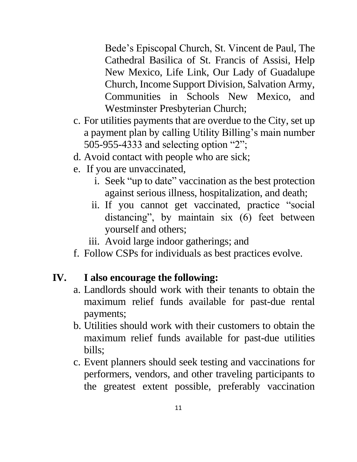Bede's Episcopal Church, St. Vincent de Paul, The Cathedral Basilica of St. Francis of Assisi, Help New Mexico, Life Link, Our Lady of Guadalupe Church, Income Support Division, Salvation Army, Communities in Schools New Mexico, and Westminster Presbyterian Church;

- c. For utilities payments that are overdue to the City, set up a payment plan by calling Utility Billing's main number 505-955-4333 and selecting option "2";
- d. Avoid contact with people who are sick;
- e. If you are unvaccinated,
	- i. Seek "up to date" vaccination as the best protection against serious illness, hospitalization, and death;
	- ii. If you cannot get vaccinated, practice "social distancing", by maintain six (6) feet between yourself and others;
	- iii. Avoid large indoor gatherings; and
- f. Follow CSPs for individuals as best practices evolve.

## **IV. I also encourage the following:**

- a. Landlords should work with their tenants to obtain the maximum relief funds available for past-due rental payments;
- b. Utilities should work with their customers to obtain the maximum relief funds available for past-due utilities bills;
- c. Event planners should seek testing and vaccinations for performers, vendors, and other traveling participants to the greatest extent possible, preferably vaccination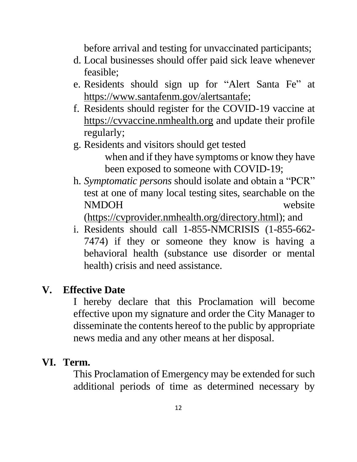before arrival and testing for unvaccinated participants;

- d. Local businesses should offer paid sick leave whenever feasible;
- e. Residents should sign up for "Alert Santa Fe" at [https://www.santafenm.gov/alertsantafe;](https://www.santafenm.gov/alertsantafe)
- f. Residents should register for the COVID-19 vaccine at [https://cvvaccine.nmhealth.org](https://cvvaccine.nmhealth.org/) and update their profile regularly;
- g. Residents and visitors should get tested when and if they have symptoms or know they have been exposed to someone with COVID-19;
- h. *Symptomatic persons* should isolate and obtain a "PCR" test at one of many local testing sites, searchable on the NMDOH website

[\(https://cvprovider.nmhealth.org/directory.html\)](https://cvprovider.nmhealth.org/directory.html); and

i. Residents should call 1-855-NMCRISIS (1-855-662- 7474) if they or someone they know is having a behavioral health (substance use disorder or mental health) crisis and need assistance.

#### **V. Effective Date**

I hereby declare that this Proclamation will become effective upon my signature and order the City Manager to disseminate the contents hereof to the public by appropriate news media and any other means at her disposal.

#### **VI. Term.**

This Proclamation of Emergency may be extended for such additional periods of time as determined necessary by